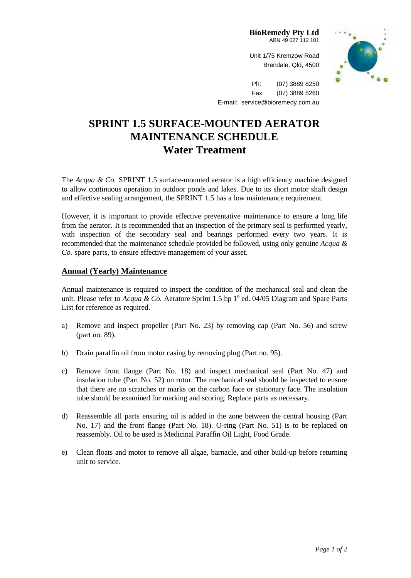**BioRemedy Pty Ltd** ABN 49 027 112 101

Unit 1/75 Kremzow Road Brendale, Qld, 4500



Ph: (07) 3889 8250 Fax: (07) 3889 8260 E-mail: service@bioremedy.com.au

## **SPRINT 1.5 SURFACE-MOUNTED AERATOR MAINTENANCE SCHEDULE Water Treatment**

The *Acqua & Co.* SPRINT 1.5 surface-mounted aerator is a high efficiency machine designed to allow continuous operation in outdoor ponds and lakes. Due to its short motor shaft design and effective sealing arrangement, the SPRINT 1.5 has a low maintenance requirement.

However, it is important to provide effective preventative maintenance to ensure a long life from the aerator. It is recommended that an inspection of the primary seal is performed yearly, with inspection of the secondary seal and bearings performed every two years. It is recommended that the maintenance schedule provided be followed, using only genuine *Acqua & Co.* spare parts, to ensure effective management of your asset.

## **Annual (Yearly) Maintenance**

Annual maintenance is required to inspect the condition of the mechanical seal and clean the unit. Please refer to  $Acqua & Co.$  Aeratore Sprint 1.5 hp  $1^{\circ}$  ed. 04/05 Diagram and Spare Parts List for reference as required.

- a) Remove and inspect propeller (Part No. 23) by removing cap (Part No. 56) and screw (part no. 89).
- b) Drain paraffin oil from motor casing by removing plug (Part no. 95).
- c) Remove front flange (Part No. 18) and inspect mechanical seal (Part No. 47) and insulation tube (Part No. 52) on rotor. The mechanical seal should be inspected to ensure that there are no scratches or marks on the carbon face or stationary face. The insulation tube should be examined for marking and scoring. Replace parts as necessary.
- d) Reassemble all parts ensuring oil is added in the zone between the central housing (Part No. 17) and the front flange (Part No. 18). O-ring (Part No. 51) is to be replaced on reassembly. Oil to be used is Medicinal Paraffin Oil Light, Food Grade.
- e) Clean floats and motor to remove all algae, barnacle, and other build-up before returning unit to service.